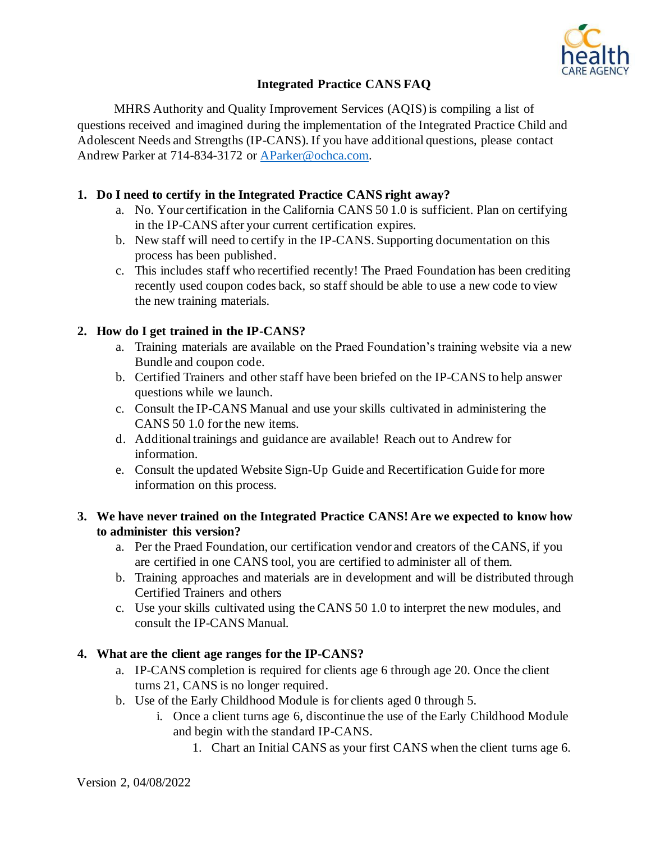

# **Integrated Practice CANS FAQ**

MHRS Authority and Quality Improvement Services (AQIS) is compiling a list of questions received and imagined during the implementation of the Integrated Practice Child and Adolescent Needs and Strengths (IP-CANS). If you have additional questions, please contact Andrew Parker at 714-834-3172 or [AParker@ochca.com.](mailto:AParker@ochca.com)

## **1. Do I need to certify in the Integrated Practice CANS right away?**

- a. No. Your certification in the California CANS 50 1.0 is sufficient. Plan on certifying in the IP-CANS after your current certification expires.
- b. New staff will need to certify in the IP-CANS. Supporting documentation on this process has been published.
- c. This includes staff who recertified recently! The Praed Foundation has been crediting recently used coupon codes back, so staff should be able to use a new code to view the new training materials.

# **2. How do I get trained in the IP-CANS?**

- a. Training materials are available on the Praed Foundation's training website via a new Bundle and coupon code.
- b. Certified Trainers and other staff have been briefed on the IP-CANS to help answer questions while we launch.
- c. Consult the IP-CANS Manual and use your skills cultivated in administering the CANS 50 1.0 for the new items.
- d. Additional trainings and guidance are available! Reach out to Andrew for information.
- e. Consult the updated Website Sign-Up Guide and Recertification Guide for more information on this process.

### **3. We have never trained on the Integrated Practice CANS! Are we expected to know how to administer this version?**

- a. Per the Praed Foundation, our certification vendor and creators of the CANS, if you are certified in one CANS tool, you are certified to administer all of them.
- b. Training approaches and materials are in development and will be distributed through Certified Trainers and others
- c. Use your skills cultivated using the CANS 50 1.0 to interpret the new modules, and consult the IP-CANS Manual.

# **4. What are the client age ranges for the IP-CANS?**

- a. IP-CANS completion is required for clients age 6 through age 20. Once the client turns 21, CANS is no longer required.
- b. Use of the Early Childhood Module is for clients aged 0 through 5.
	- i. Once a client turns age 6, discontinue the use of the Early Childhood Module and begin with the standard IP-CANS.
		- 1. Chart an Initial CANS as your first CANS when the client turns age 6.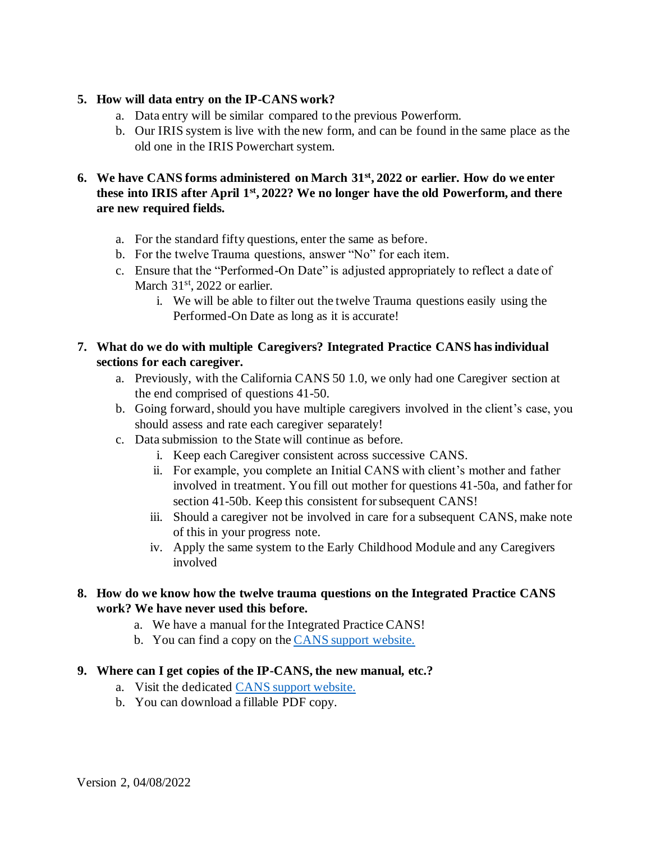#### **5. How will data entry on the IP-CANS work?**

- a. Data entry will be similar compared to the previous Powerform.
- b. Our IRIS system is live with the new form, and can be found in the same place as the old one in the IRIS Powerchart system.

### **6. We have CANS forms administered on March 31st, 2022 or earlier. How do we enter these into IRIS after April 1st, 2022? We no longer have the old Powerform, and there are new required fields.**

- a. For the standard fifty questions, enter the same as before.
- b. For the twelve Trauma questions, answer "No" for each item.
- c. Ensure that the "Performed-On Date" is adjusted appropriately to reflect a date of March 31<sup>st</sup>, 2022 or earlier.
	- i. We will be able to filter out the twelve Trauma questions easily using the Performed-On Date as long as it is accurate!

### **7. What do we do with multiple Caregivers? Integrated Practice CANS has individual sections for each caregiver.**

- a. Previously, with the California CANS 50 1.0, we only had one Caregiver section at the end comprised of questions 41-50.
- b. Going forward, should you have multiple caregivers involved in the client's case, you should assess and rate each caregiver separately!
- c. Data submission to the State will continue as before.
	- i. Keep each Caregiver consistent across successive CANS.
	- ii. For example, you complete an Initial CANS with client's mother and father involved in treatment. You fill out mother for questions 41-50a, and father for section 41-50b. Keep this consistent for subsequent CANS!
	- iii. Should a caregiver not be involved in care for a subsequent CANS, make note of this in your progress note.
	- iv. Apply the same system to the Early Childhood Module and any Caregivers involved

### **8. How do we know how the twelve trauma questions on the Integrated Practice CANS work? We have never used this before.**

- a. We have a manual for the Integrated Practice CANS!
- b. You can find a copy on th[e CANS support website.](http://www.ochealthinfo.com/bhs/about/cys/support/cans)

#### **9. Where can I get copies of the IP-CANS, the new manual, etc.?**

- a. Visit the dedicate[d CANS support website.](http://www.ochealthinfo.com/bhs/about/cys/support/cans)
- b. You can download a fillable PDF copy.